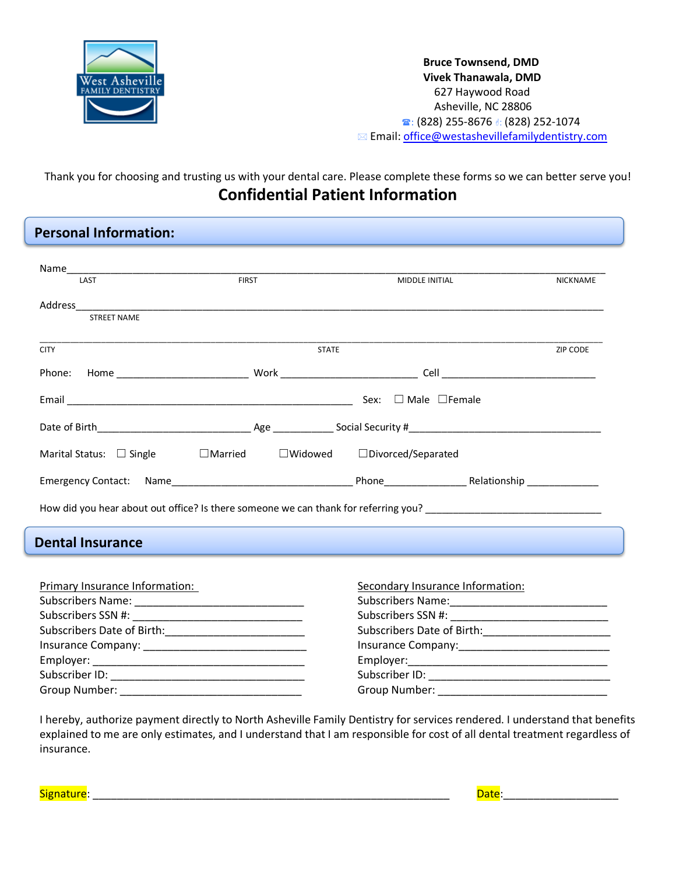

Thank you for choosing and trusting us with your dental care. Please complete these forms so we can better serve you! **Confidential Patient Information**

# **Personal Information:**

| <b>IAST</b>                    | <b>FIRST</b>                  | MIDDLE INITIAL                                                                      | <b>NICKNAME</b> |  |
|--------------------------------|-------------------------------|-------------------------------------------------------------------------------------|-----------------|--|
| Address                        |                               |                                                                                     |                 |  |
| <b>STREET NAME</b>             |                               |                                                                                     |                 |  |
|                                |                               |                                                                                     |                 |  |
| <b>CITY</b>                    | <b>STATE</b>                  |                                                                                     | <b>ZIP CODE</b> |  |
| Phone:                         |                               |                                                                                     |                 |  |
|                                |                               |                                                                                     |                 |  |
|                                |                               |                                                                                     |                 |  |
| Marital Status: $\Box$ Single  | $\Box$ Married $\Box$ Widowed | $\Box$ Divorced/Separated                                                           |                 |  |
|                                |                               |                                                                                     |                 |  |
|                                |                               | How did you hear about out office? Is there someone we can thank for referring you? |                 |  |
| <b>Dental Insurance</b>        |                               |                                                                                     |                 |  |
|                                |                               |                                                                                     |                 |  |
| Primary Insurance Information: |                               | Secondary Insurance Information:                                                    |                 |  |
|                                |                               |                                                                                     |                 |  |
|                                |                               |                                                                                     |                 |  |
|                                |                               |                                                                                     |                 |  |
|                                |                               |                                                                                     |                 |  |
|                                |                               |                                                                                     |                 |  |
|                                |                               |                                                                                     |                 |  |
| Group Number:                  |                               | Group Number:                                                                       |                 |  |

I hereby, authorize payment directly to North Asheville Family Dentistry for services rendered. I understand that benefits explained to me are only estimates, and I understand that I am responsible for cost of all dental treatment regardless of insurance.

Signature: \_\_\_\_\_\_\_\_\_\_\_\_\_\_\_\_\_\_\_\_\_\_\_\_\_\_\_\_\_\_\_\_\_\_\_\_\_\_\_\_\_\_\_\_\_\_\_\_\_\_\_\_\_\_\_\_\_\_\_ Date:\_\_\_\_\_\_\_\_\_\_\_\_\_\_\_\_\_\_\_

| <b>CONTRACTOR</b> | . .<br><b>Service Service</b> | <b>Service Service</b> |  |
|-------------------|-------------------------------|------------------------|--|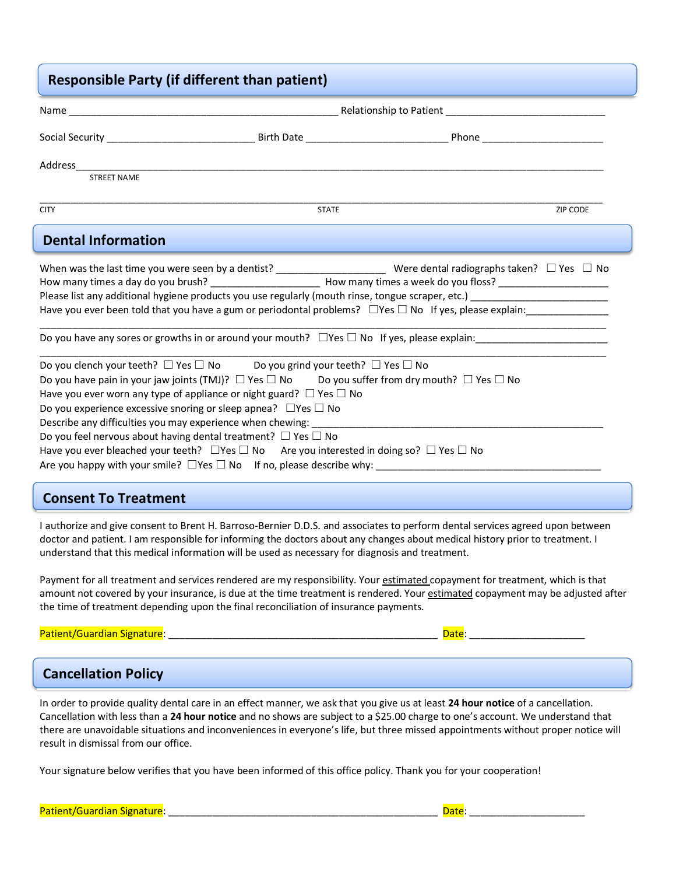|                           | <b>Responsible Party (if different than patient)</b>                                                                                                                                                                     |                                                                                                                   |                 |  |
|---------------------------|--------------------------------------------------------------------------------------------------------------------------------------------------------------------------------------------------------------------------|-------------------------------------------------------------------------------------------------------------------|-----------------|--|
|                           |                                                                                                                                                                                                                          |                                                                                                                   |                 |  |
|                           |                                                                                                                                                                                                                          |                                                                                                                   |                 |  |
| <b>STREET NAME</b>        |                                                                                                                                                                                                                          |                                                                                                                   |                 |  |
| <b>CITY</b>               | <b>STATE</b>                                                                                                                                                                                                             |                                                                                                                   | <b>ZIP CODE</b> |  |
| <b>Dental Information</b> |                                                                                                                                                                                                                          |                                                                                                                   |                 |  |
|                           |                                                                                                                                                                                                                          |                                                                                                                   |                 |  |
|                           |                                                                                                                                                                                                                          | Have you ever been told that you have a gum or periodontal problems? $\Box$ Yes $\Box$ No If yes, please explain: |                 |  |
|                           | Do you have any sores or growths in or around your mouth? $\square$ Yes $\square$ No If yes, please explain:<br>Do you clench your teeth? $\square$ Yes $\square$ No Do you grind your teeth? $\square$ Yes $\square$ No |                                                                                                                   |                 |  |

### **Consent To Treatment**

I authorize and give consent to Brent H. Barroso-Bernier D.D.S. and associates to perform dental services agreed upon between doctor and patient. I am responsible for informing the doctors about any changes about medical history prior to treatment. I understand that this medical information will be used as necessary for diagnosis and treatment.

Payment for all treatment and services rendered are my responsibility. Your estimated copayment for treatment, which is that amount not covered by your insurance, is due at the time treatment is rendered. Your estimated copayment may be adjusted after the time of treatment depending upon the final reconciliation of insurance payments.

Patient/Guardian Signature: \_\_\_\_\_\_\_\_\_\_\_\_\_\_\_\_\_\_\_\_\_\_\_\_\_\_\_\_\_\_\_\_\_\_\_\_\_\_\_\_\_\_\_\_\_\_\_\_\_ Date: \_\_\_\_\_\_\_\_\_\_\_\_\_\_\_\_\_\_\_\_\_

### **Cancellation Policy**

In order to provide quality dental care in an effect manner, we ask that you give us at least **24 hour notice** of a cancellation. Cancellation with less than a **24 hour notice** and no shows are subject to a \$25.00 charge to one's account. We understand that there are unavoidable situations and inconveniences in everyone's life, but three missed appointments without proper notice will result in dismissal from our office.

Your signature below verifies that you have been informed of this office policy. Thank you for your cooperation!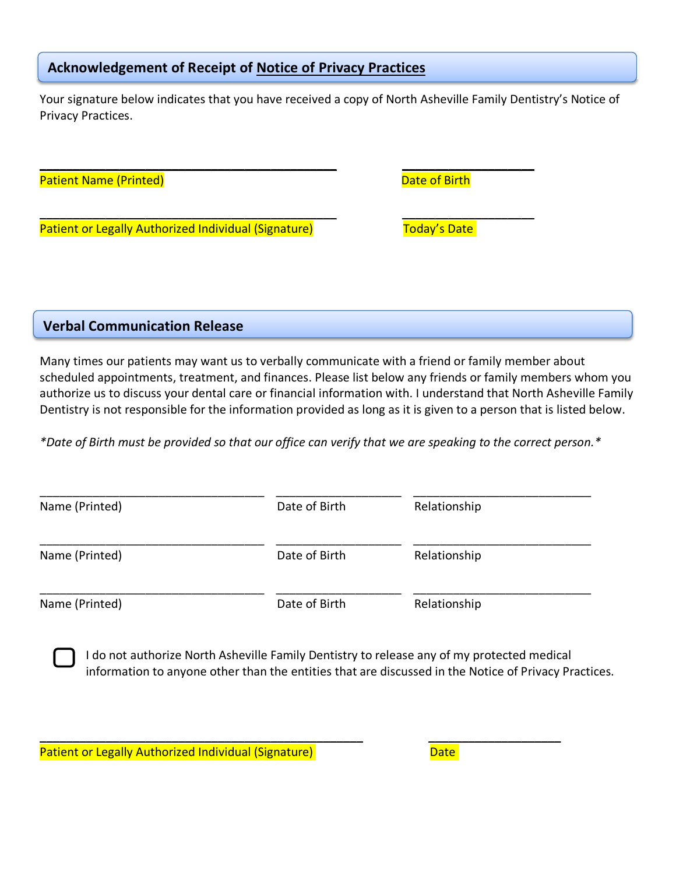### **Acknowledgement of Receipt of Notice of Privacy Practices**

Your signature below indicates that you have received a copy of North Asheville Family Dentistry's Notice of Privacy Practices.

**\_\_\_\_\_\_\_\_\_\_\_\_\_\_\_\_\_\_\_\_\_\_\_\_\_\_\_\_\_\_\_\_\_\_\_\_\_\_\_\_\_\_\_\_\_ \_\_\_\_\_\_\_\_\_\_\_\_\_\_\_\_\_\_\_\_**

Patient Name (Printed) and Date of Birth

Patient or Legally Authorized Individual (Signature) Translate Today's Date

**\_\_\_\_\_\_\_\_\_\_\_\_\_\_\_\_\_\_\_\_\_\_\_\_\_\_\_\_\_\_\_\_\_\_\_\_\_\_\_\_\_\_\_\_\_ \_\_\_\_\_\_\_\_\_\_\_\_\_\_\_\_\_\_\_\_**

## **Verbal Communication Release**

Many times our patients may want us to verbally communicate with a friend or family member about scheduled appointments, treatment, and finances. Please list below any friends or family members whom you authorize us to discuss your dental care or financial information with. I understand that North Asheville Family Dentistry is not responsible for the information provided as long as it is given to a person that is listed below.

*\*Date of Birth must be provided so that our office can verify that we are speaking to the correct person.\**

| Name (Printed) | Date of Birth | Relationship |  |
|----------------|---------------|--------------|--|
| Name (Printed) | Date of Birth | Relationship |  |
| Name (Printed) | Date of Birth | Relationship |  |

**\_\_\_\_\_\_\_\_\_\_\_\_\_\_\_\_\_\_\_\_\_\_\_\_\_\_\_\_\_\_\_\_\_\_\_\_\_\_\_\_\_\_\_\_\_\_\_\_\_ \_\_\_\_\_\_\_\_\_\_\_\_\_\_\_\_\_\_\_\_**

I do not authorize North Asheville Family Dentistry to release any of my protected medical information to anyone other than the entities that are discussed in the Notice of Privacy Practices.

Patient or Legally Authorized Individual (Signature) and the Control Date